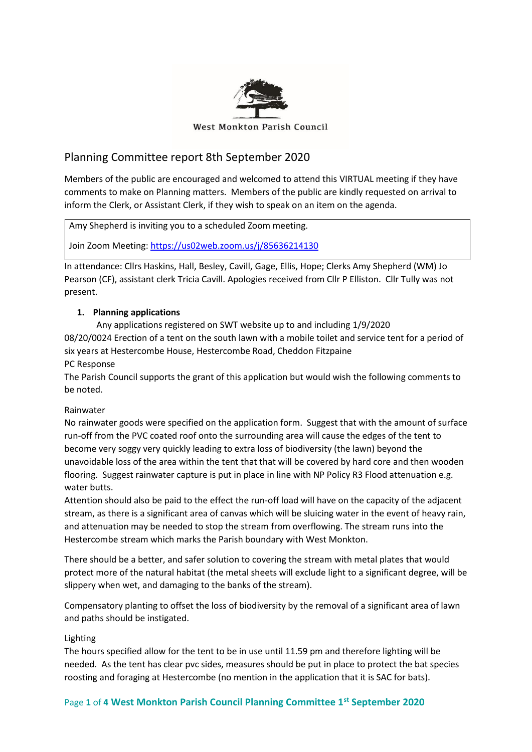

# Planning Committee report 8th September 2020

Members of the public are encouraged and welcomed to attend this VIRTUAL meeting if they have comments to make on Planning matters. Members of the public are kindly requested on arrival to inform the Clerk, or Assistant Clerk, if they wish to speak on an item on the agenda.

Amy Shepherd is inviting you to a scheduled Zoom meeting.

Join Zoom Meeting[: https://us02web.zoom.us/j/85636214130](https://us02web.zoom.us/j/85636214130)

In attendance: Cllrs Haskins, Hall, Besley, Cavill, Gage, Ellis, Hope; Clerks Amy Shepherd (WM) Jo Pearson (CF), assistant clerk Tricia Cavill. Apologies received from Cllr P Elliston. Cllr Tully was not present.

## **1. Planning applications**

Any applications registered on SWT website up to and including 1/9/2020 08/20/0024 Erection of a tent on the south lawn with a mobile toilet and service tent for a period of six years at Hestercombe House, Hestercombe Road, Cheddon Fitzpaine PC Response

The Parish Council supports the grant of this application but would wish the following comments to be noted.

#### Rainwater

No rainwater goods were specified on the application form. Suggest that with the amount of surface run-off from the PVC coated roof onto the surrounding area will cause the edges of the tent to become very soggy very quickly leading to extra loss of biodiversity (the lawn) beyond the unavoidable loss of the area within the tent that that will be covered by hard core and then wooden flooring. Suggest rainwater capture is put in place in line with NP Policy R3 Flood attenuation e.g. water butts.

Attention should also be paid to the effect the run-off load will have on the capacity of the adjacent stream, as there is a significant area of canvas which will be sluicing water in the event of heavy rain, and attenuation may be needed to stop the stream from overflowing. The stream runs into the Hestercombe stream which marks the Parish boundary with West Monkton.

There should be a better, and safer solution to covering the stream with metal plates that would protect more of the natural habitat (the metal sheets will exclude light to a significant degree, will be slippery when wet, and damaging to the banks of the stream).

Compensatory planting to offset the loss of biodiversity by the removal of a significant area of lawn and paths should be instigated.

#### Lighting

The hours specified allow for the tent to be in use until 11.59 pm and therefore lighting will be needed. As the tent has clear pvc sides, measures should be put in place to protect the bat species roosting and foraging at Hestercombe (no mention in the application that it is SAC for bats).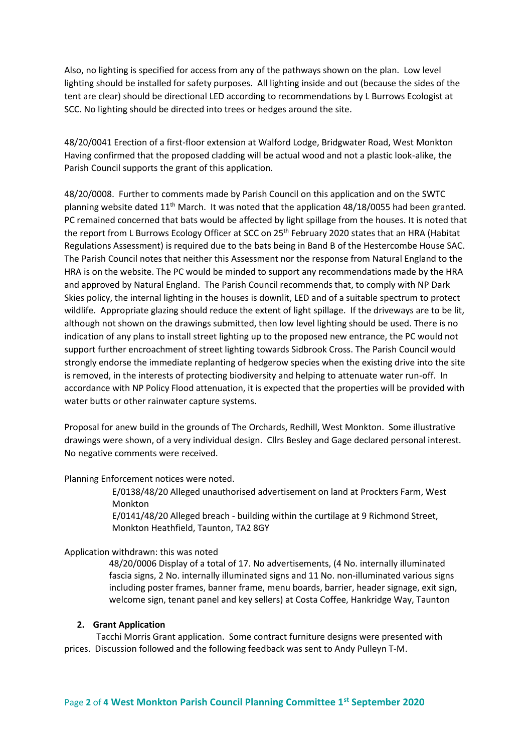Also, no lighting is specified for access from any of the pathways shown on the plan. Low level lighting should be installed for safety purposes. All lighting inside and out (because the sides of the tent are clear) should be directional LED according to recommendations by L Burrows Ecologist at SCC. No lighting should be directed into trees or hedges around the site.

48/20/0041 Erection of a first-floor extension at Walford Lodge, Bridgwater Road, West Monkton Having confirmed that the proposed cladding will be actual wood and not a plastic look-alike, the Parish Council supports the grant of this application.

48/20/0008. Further to comments made by Parish Council on this application and on the SWTC planning website dated  $11<sup>th</sup>$  March. It was noted that the application 48/18/0055 had been granted. PC remained concerned that bats would be affected by light spillage from the houses. It is noted that the report from L Burrows Ecology Officer at SCC on 25<sup>th</sup> February 2020 states that an HRA (Habitat Regulations Assessment) is required due to the bats being in Band B of the Hestercombe House SAC. The Parish Council notes that neither this Assessment nor the response from Natural England to the HRA is on the website. The PC would be minded to support any recommendations made by the HRA and approved by Natural England. The Parish Council recommends that, to comply with NP Dark Skies policy, the internal lighting in the houses is downlit, LED and of a suitable spectrum to protect wildlife. Appropriate glazing should reduce the extent of light spillage. If the driveways are to be lit, although not shown on the drawings submitted, then low level lighting should be used. There is no indication of any plans to install street lighting up to the proposed new entrance, the PC would not support further encroachment of street lighting towards Sidbrook Cross. The Parish Council would strongly endorse the immediate replanting of hedgerow species when the existing drive into the site is removed, in the interests of protecting biodiversity and helping to attenuate water run-off. In accordance with NP Policy Flood attenuation, it is expected that the properties will be provided with water butts or other rainwater capture systems.

Proposal for anew build in the grounds of The Orchards, Redhill, West Monkton. Some illustrative drawings were shown, of a very individual design. Cllrs Besley and Gage declared personal interest. No negative comments were received.

Planning Enforcement notices were noted.

 E/0138/48/20 Alleged unauthorised advertisement on land at Prockters Farm, West Monkton

 E/0141/48/20 Alleged breach - building within the curtilage at 9 Richmond Street, Monkton Heathfield, Taunton, TA2 8GY

#### Application withdrawn: this was noted

48/20/0006 Display of a total of 17. No advertisements, (4 No. internally illuminated fascia signs, 2 No. internally illuminated signs and 11 No. non-illuminated various signs including poster frames, banner frame, menu boards, barrier, header signage, exit sign, welcome sign, tenant panel and key sellers) at Costa Coffee, Hankridge Way, Taunton

#### **2. Grant Application**

Tacchi Morris Grant application. Some contract furniture designs were presented with prices. Discussion followed and the following feedback was sent to Andy Pulleyn T-M.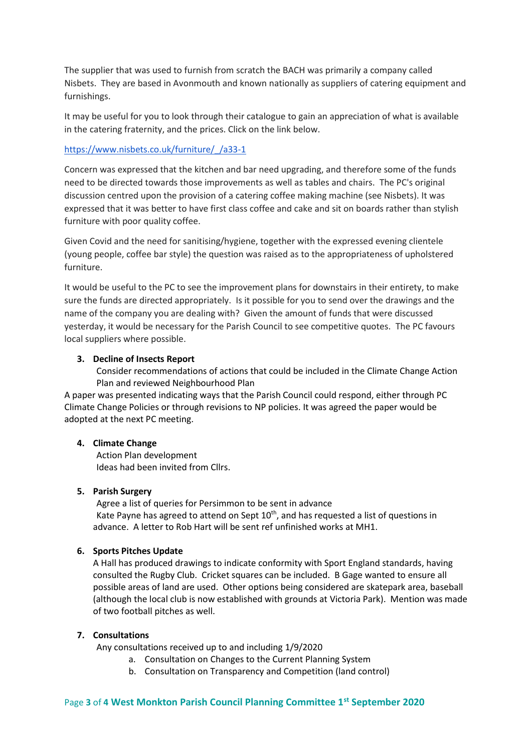The supplier that was used to furnish from scratch the BACH was primarily a company called Nisbets. They are based in Avonmouth and known nationally as suppliers of catering equipment and furnishings.

It may be useful for you to look through their catalogue to gain an appreciation of what is available in the catering fraternity, and the prices. Click on the link below.

### [https://www.nisbets.co.uk/furniture/\\_/a33-1](https://www.nisbets.co.uk/furniture/_/a33-1)

Concern was expressed that the kitchen and bar need upgrading, and therefore some of the funds need to be directed towards those improvements as well as tables and chairs. The PC's original discussion centred upon the provision of a catering coffee making machine (see Nisbets). It was expressed that it was better to have first class coffee and cake and sit on boards rather than stylish furniture with poor quality coffee.

Given Covid and the need for sanitising/hygiene, together with the expressed evening clientele (young people, coffee bar style) the question was raised as to the appropriateness of upholstered furniture.

It would be useful to the PC to see the improvement plans for downstairs in their entirety, to make sure the funds are directed appropriately. Is it possible for you to send over the drawings and the name of the company you are dealing with? Given the amount of funds that were discussed yesterday, it would be necessary for the Parish Council to see competitive quotes. The PC favours local suppliers where possible.

#### **3. Decline of Insects Report**

Consider recommendations of actions that could be included in the Climate Change Action Plan and reviewed Neighbourhood Plan

A paper was presented indicating ways that the Parish Council could respond, either through PC Climate Change Policies or through revisions to NP policies. It was agreed the paper would be adopted at the next PC meeting.

#### **4. Climate Change**

Action Plan development Ideas had been invited from Cllrs.

#### **5. Parish Surgery**

Agree a list of queries for Persimmon to be sent in advance Kate Payne has agreed to attend on Sept 10<sup>th</sup>, and has requested a list of questions in advance. A letter to Rob Hart will be sent ref unfinished works at MH1.

#### **6. Sports Pitches Update**

A Hall has produced drawings to indicate conformity with Sport England standards, having consulted the Rugby Club. Cricket squares can be included. B Gage wanted to ensure all possible areas of land are used. Other options being considered are skatepark area, baseball (although the local club is now established with grounds at Victoria Park). Mention was made of two football pitches as well.

#### **7. Consultations**

Any consultations received up to and including 1/9/2020

- a. Consultation on Changes to the Current Planning System
- b. Consultation on Transparency and Competition (land control)